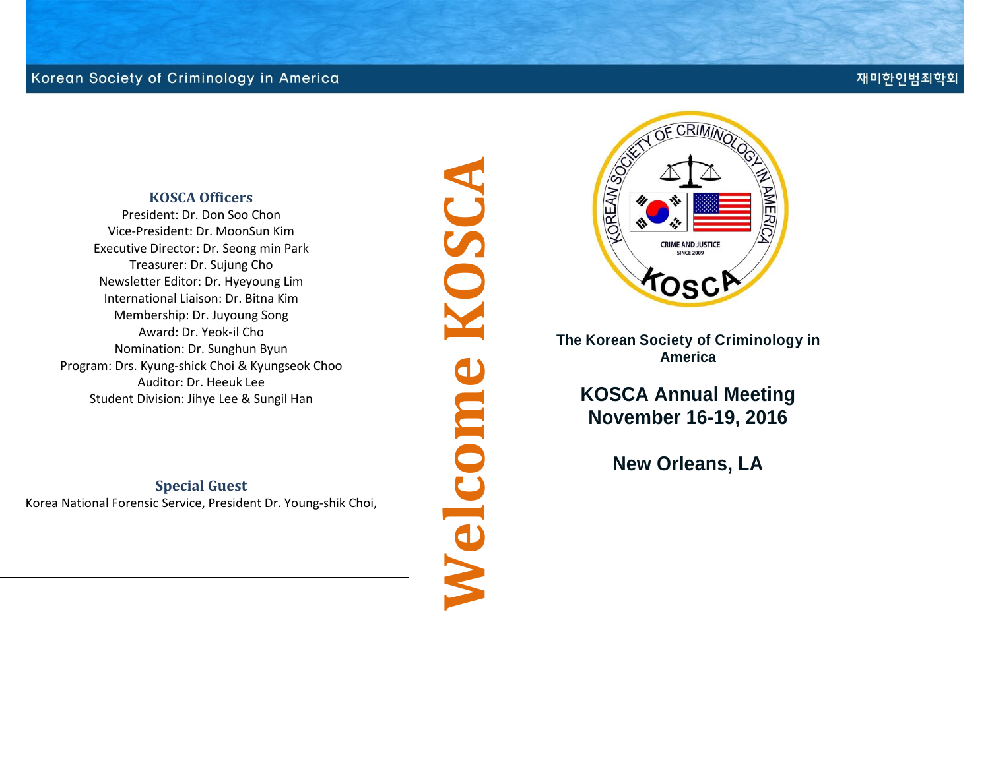#### 재미한인범죄학회

#### **KOSCA Officers**

President: Dr. Don Soo Chon Vice-President: Dr. MoonSun Kim Executive Director: Dr. Seong min Park Treasurer: Dr. Sujung Cho Newsletter Editor: Dr. Hyeyoung Lim International Liaison: Dr. Bitna Kim Membership: Dr. Juyoung Song Award: Dr. Yeok-il Cho Nomination: Dr. Sunghun Byun Program: Drs. Kyung-shick Choi & Kyungseok Choo Auditor: Dr. Heeuk Lee Student Division: Jihye Lee & Sungil Han

#### **Special Guest**

Korea National Forensic Service, President Dr. Young-shik Choi,

**Welcome KOSCANOSC** Welcome



**The Korean Society of Criminology in America**

**KOSCA Annual Meeting November 16-19, 2016**

**New Orleans, LA**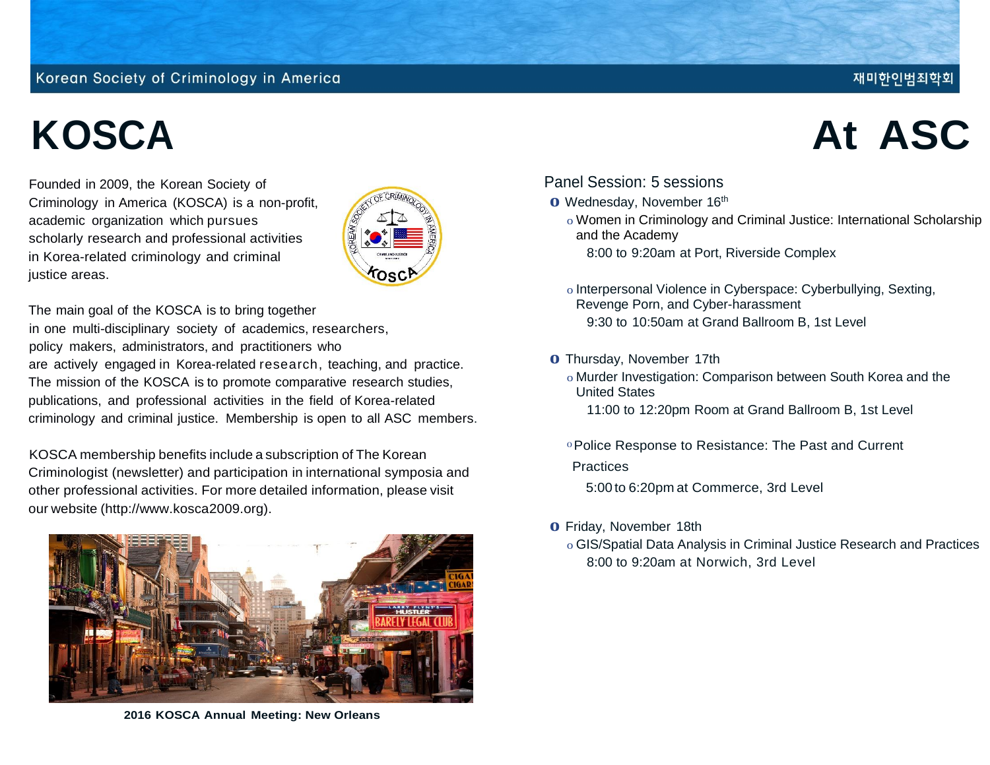Founded in 2009, the Korean Society of Criminology in America (KOSCA) is a non-profit, academic organization which pursues scholarly research and professional activities in Korea-related criminology and criminal justice areas.



The main goal of the KOSCA is to bring together in one multi-disciplinary society of academics, researchers, policy makers, administrators, and practitioners who are actively engaged in Korea-related research, teaching, and practice. The mission of the KOSCA is to promote comparative research studies, publications, and professional activities in the field of Korea-related criminology and criminal justice. Membership is open to all ASC members.

KOSCA membership benefits include a subscription of The Korean Criminologist (newsletter) and participation in international symposia and other professional activities. For more detailed information, please visit our website (http://www.kosca2009.org).



**2016 KOSCA Annual Meeting: New Orleans**

# **KOSCA At ASC**

재미한인범죄학회

#### Panel Session: 5 sessions

- **o** Wednesday, November <sup>16</sup>th
	- o Women in Criminology and Criminal Justice: International Scholarship and the Academy
		- 8:00 to 9:20am at Port, Riverside Complex
	- o Interpersonal Violence in Cyberspace: Cyberbullying, Sexting, Revenge Porn, and Cyber-harassment 9:30 to 10:50am at Grand Ballroom B, 1st Level
- **o** Thursday, November 17th
	- o Murder Investigation: Comparison between South Korea and the United States
		- 11:00 to 12:20pm Room at Grand Ballroom B, 1st Level
	- 0Police Response to Resistance: The Past and Current

#### **Practices**

- 5:00 to 6:20pm at Commerce, 3rd Level
- **o** Friday, November 18th
	- o GIS/Spatial Data Analysis in Criminal Justice Research and Practices 8:00 to 9:20am at Norwich, 3rd Level